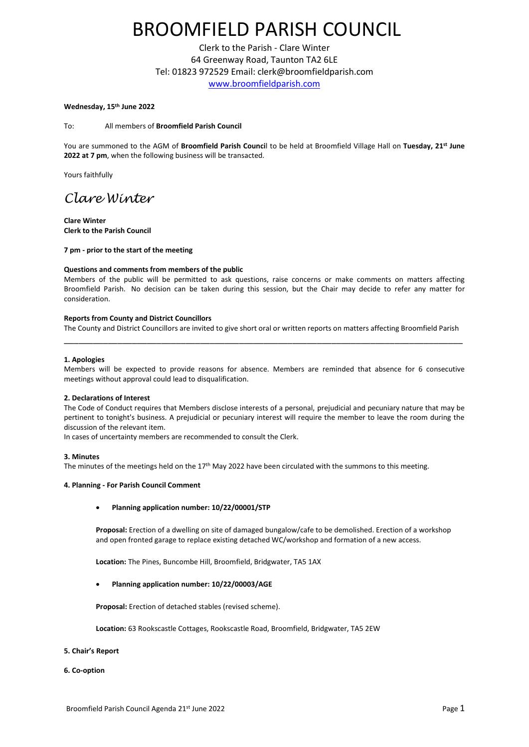# BROOMFIELD PARISH COUNCIL

Clerk to the Parish - Clare Winter 64 Greenway Road, Taunton TA2 6LE Tel: 01823 972529 Email: clerk@broomfieldparish.com [www.broomfieldparish.com](http://www.broomfieldparish.com/)

#### **Wednesday, 15th June 2022**

#### To: All members of **Broomfield Parish Council**

You are summoned to the AGM of **Broomfield Parish Counci**l to be held at Broomfield Village Hall on **Tuesday, 21st June 2022 at 7 pm**, when the following business will be transacted.

Yours faithfully

## *Clare Winter*

**Clare Winter Clerk to the Parish Council**

**7 pm - prior to the start of the meeting**

#### **Questions and comments from members of the public**

Members of the public will be permitted to ask questions, raise concerns or make comments on matters affecting Broomfield Parish. No decision can be taken during this session, but the Chair may decide to refer any matter for consideration.

#### **Reports from County and District Councillors**

The County and District Councillors are invited to give short oral or written reports on matters affecting Broomfield Parish \_\_\_\_\_\_\_\_\_\_\_\_\_\_\_\_\_\_\_\_\_\_\_\_\_\_\_\_\_\_\_\_\_\_\_\_\_\_\_\_\_\_\_\_\_\_\_\_\_\_\_\_\_\_\_\_\_\_\_\_\_\_\_\_\_\_\_\_\_\_\_\_\_\_\_\_\_\_\_\_\_\_

#### **1. Apologies**

Members will be expected to provide reasons for absence. Members are reminded that absence for 6 consecutive meetings without approval could lead to disqualification.

#### **2. Declarations of Interest**

The Code of Conduct requires that Members disclose interests of a personal, prejudicial and pecuniary nature that may be pertinent to tonight's business. A prejudicial or pecuniary interest will require the member to leave the room during the discussion of the relevant item.

In cases of uncertainty members are recommended to consult the Clerk.

#### **3. Minutes**

The minutes of the meetings held on the 17th May 2022 have been circulated with the summons to this meeting.

#### **4. Planning - For Parish Council Comment**

#### • **Planning application number: 10/22/00001/STP**

**Proposal:** Erection of a dwelling on site of damaged bungalow/cafe to be demolished. Erection of a workshop and open fronted garage to replace existing detached WC/workshop and formation of a new access.

**Location:** The Pines, Buncombe Hill, Broomfield, Bridgwater, TA5 1AX

#### • **Planning application number: 10/22/00003/AGE**

**Proposal:** Erection of detached stables (revised scheme).

**Location:** 63 Rookscastle Cottages, Rookscastle Road, Broomfield, Bridgwater, TA5 2EW

#### **5. Chair's Report**

**6. Co-option**